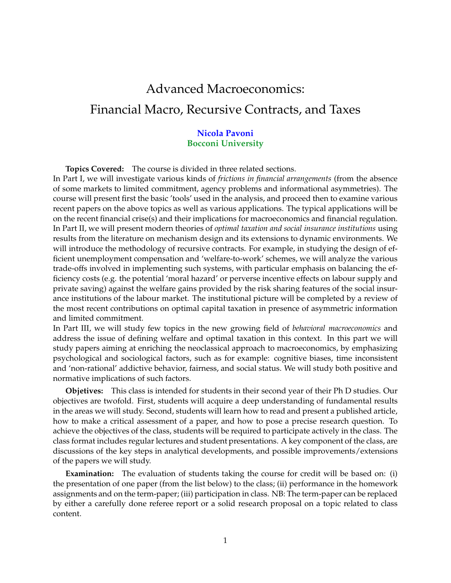# Advanced Macroeconomics: Financial Macro, Recursive Contracts, and Taxes

### **Nicola Pavoni Bocconi University**

**Topics Covered:** The course is divided in three related sections.

In Part I, we will investigate various kinds of *frictions in financial arrangements* (from the absence of some markets to limited commitment, agency problems and informational asymmetries). The course will present first the basic 'tools' used in the analysis, and proceed then to examine various recent papers on the above topics as well as various applications. The typical applications will be on the recent financial crise(s) and their implications for macroeconomics and financial regulation. In Part II, we will present modern theories of *optimal taxation and social insurance institutions* using results from the literature on mechanism design and its extensions to dynamic environments. We will introduce the methodology of recursive contracts. For example, in studying the design of efficient unemployment compensation and 'welfare-to-work' schemes, we will analyze the various trade-offs involved in implementing such systems, with particular emphasis on balancing the efficiency costs (e.g. the potential 'moral hazard' or perverse incentive effects on labour supply and private saving) against the welfare gains provided by the risk sharing features of the social insurance institutions of the labour market. The institutional picture will be completed by a review of the most recent contributions on optimal capital taxation in presence of asymmetric information and limited commitment.

In Part III, we will study few topics in the new growing field of *behavioral macroeconomics* and address the issue of defining welfare and optimal taxation in this context. In this part we will study papers aiming at enriching the neoclassical approach to macroeconomics, by emphasizing psychological and sociological factors, such as for example: cognitive biases, time inconsistent and 'non-rational' addictive behavior, fairness, and social status. We will study both positive and normative implications of such factors.

**Objetives:** This class is intended for students in their second year of their Ph D studies. Our objectives are twofold. First, students will acquire a deep understanding of fundamental results in the areas we will study. Second, students will learn how to read and present a published article, how to make a critical assessment of a paper, and how to pose a precise research question. To achieve the objectives of the class, students will be required to participate actively in the class. The class format includes regular lectures and student presentations. A key component of the class, are discussions of the key steps in analytical developments, and possible improvements/extensions of the papers we will study.

**Examination:** The evaluation of students taking the course for credit will be based on: (i) the presentation of one paper (from the list below) to the class; (ii) performance in the homework assignments and on the term-paper; (iii) participation in class. NB: The term-paper can be replaced by either a carefully done referee report or a solid research proposal on a topic related to class content.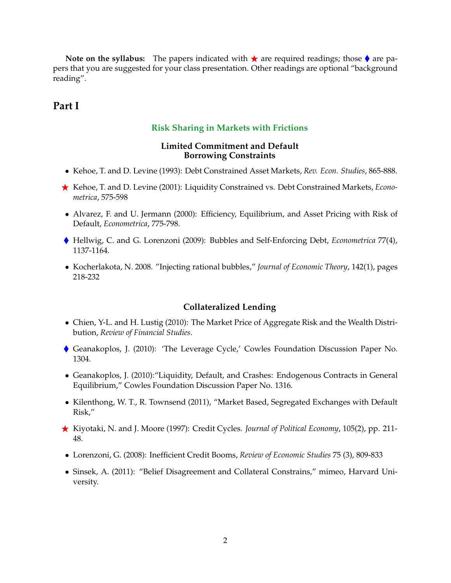**Note on the syllabus:** The papers indicated with  $\star$  are required readings; those  $\bullet$  are papers that you are suggested for your class presentation. Other readings are optional "background reading".

## **Part I**

#### **Risk Sharing in Markets with Frictions**

#### **Limited Commitment and Default Borrowing Constraints**

- Kehoe, T. and D. Levine (1993): Debt Constrained Asset Markets, *Rev. Econ. Studies*, 865-888.
- ⋆ Kehoe, T. and D. Levine (2001): Liquidity Constrained vs. Debt Constrained Markets, *Econometrica*, 575-598
- Alvarez, F. and U. Jermann (2000): Efficiency, Equilibrium, and Asset Pricing with Risk of Default, *Econometrica*, 775-798.
- Hellwig, C. and G. Lorenzoni (2009): Bubbles and Self-Enforcing Debt, *Econometrica* 77(4), 1137-1164.
- Kocherlakota, N. 2008. "Injecting rational bubbles," *Journal of Economic Theory*, 142(1), pages 218-232

#### **Collateralized Lending**

- Chien, Y-L. and H. Lustig (2010): The Market Price of Aggregate Risk and the Wealth Distribution, *Review of Financial Studies*.
- Geanakoplos, J. (2010): 'The Leverage Cycle,' Cowles Foundation Discussion Paper No. 1304.
- Geanakoplos, J. (2010):"Liquidity, Default, and Crashes: Endogenous Contracts in General Equilibrium," Cowles Foundation Discussion Paper No. 1316.
- Kilenthong, W. T., R. Townsend (2011), "Market Based, Segregated Exchanges with Default Risk,"
- ⋆ Kiyotaki, N. and J. Moore (1997): Credit Cycles. *Journal of Political Economy*, 105(2), pp. 211- 48.
- Lorenzoni, G. (2008): Inefficient Credit Booms, *Review of Economic Studies* 75 (3), 809-833
- Sinsek, A. (2011): "Belief Disagreement and Collateral Constrains," mimeo, Harvard University.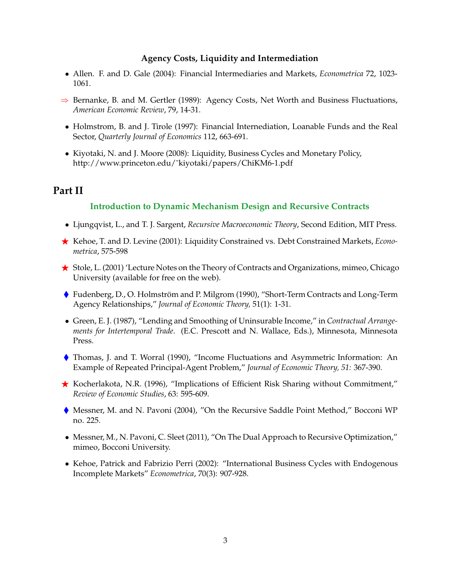#### **Agency Costs, Liquidity and Intermediation**

- Allen. F. and D. Gale (2004): Financial Intermediaries and Markets, *Econometrica* 72, 1023- 1061.
- $\Rightarrow$  Bernanke, B. and M. Gertler (1989): Agency Costs, Net Worth and Business Fluctuations, *American Economic Review*, 79, 14-31.
- Holmstrom, B. and J. Tirole (1997): Financial Internediation, Loanable Funds and the Real Sector, *Quarterly Journal of Economics* 112, 663-691.
- Kiyotaki, N. and J. Moore (2008): Liquidity, Business Cycles and Monetary Policy, http://www.princeton.edu/˜kiyotaki/papers/ChiKM6-1.pdf

## **Part II**

#### **Introduction to Dynamic Mechanism Design and Recursive Contracts**

- Ljungqvist, L., and T. J. Sargent, *Recursive Macroeconomic Theory*, Second Edition, MIT Press.
- ⋆ Kehoe, T. and D. Levine (2001): Liquidity Constrained vs. Debt Constrained Markets, *Econometrica*, 575-598
- ★ Stole, L. (2001) 'Lecture Notes on the Theory of Contracts and Organizations, mimeo, Chicago University (available for free on the web).
- ♦ Fudenberg, D., O. Holmström and P. Milgrom (1990), "Short-Term Contracts and Long-Term Agency Relationships," *Journal of Economic Theory,* 51(1): 1-31.
- Green, E. J. (1987), "Lending and Smoothing of Uninsurable Income," in *Contractual Arrangements for Intertemporal Trade*. (E.C. Prescott and N. Wallace, Eds.), Minnesota, Minnesota Press.
- Thomas, J. and T. Worral (1990), "Income Fluctuations and Asymmetric Information: An Example of Repeated Principal-Agent Problem," *Journal of Economic Theory, 51:* 367-390.
- $\star$  Kocherlakota, N.R. (1996), "Implications of Efficient Risk Sharing without Commitment," *Review of Economic Studies*, 63: 595-609.
- Messner, M. and N. Pavoni (2004), "On the Recursive Saddle Point Method," Bocconi WP no. 225.
- Messner, M., N. Pavoni, C. Sleet (2011), "On The Dual Approach to Recursive Optimization," mimeo, Bocconi University.
- Kehoe, Patrick and Fabrizio Perri (2002): "International Business Cycles with Endogenous Incomplete Markets" *Econometrica*, 70(3): 907-928.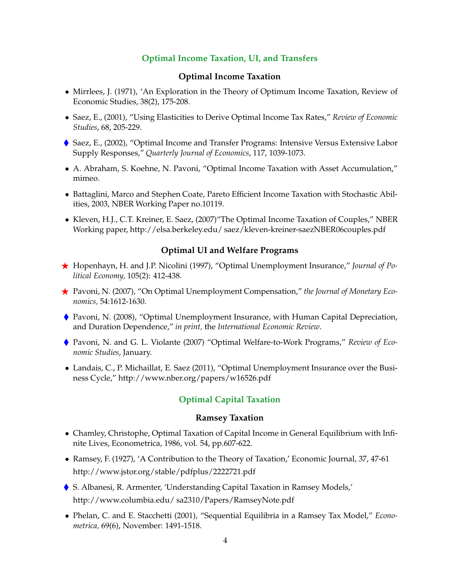## **Optimal Income Taxation, UI, and Transfers**

#### **Optimal Income Taxation**

- Mirrlees, J. (1971), 'An Exploration in the Theory of Optimum Income Taxation, Review of Economic Studies, 38(2), 175-208.
- Saez, E., (2001), "Using Elasticities to Derive Optimal Income Tax Rates," *Review of Economic Studies*, 68, 205-229.
- Saez, E., (2002), "Optimal Income and Transfer Programs: Intensive Versus Extensive Labor Supply Responses," *Quarterly Journal of Economics*, 117, 1039-1073.
- A. Abraham, S. Koehne, N. Pavoni, "Optimal Income Taxation with Asset Accumulation," mimeo.
- Battaglini, Marco and Stephen Coate, Pareto Efficient Income Taxation with Stochastic Abilities, 2003, NBER Working Paper no.10119.
- Kleven, H.J., C.T. Kreiner, E. Saez, (2007)"The Optimal Income Taxation of Couples," NBER Working paper, http://elsa.berkeley.edu/ saez/kleven-kreiner-saezNBER06couples.pdf

#### **Optimal UI and Welfare Programs**

- ⋆ Hopenhayn, H. and J.P. Nicolini (1997), "Optimal Unemployment Insurance," *Journal of Political Economy,* 105(2): 412-438.
- ⋆ Pavoni, N. (2007), "On Optimal Unemployment Compensation," *the Journal of Monetary Economics,* 54:1612-1630.
- Pavoni, N. (2008), "Optimal Unemployment Insurance, with Human Capital Depreciation, and Duration Dependence," *in print,* the *International Economic Review*.
- Pavoni, N. and G. L. Violante (2007) "Optimal Welfare-to-Work Programs," *Review of Economic Studies*, January.
- Landais, C., P. Michaillat, E. Saez (2011), "Optimal Unemployment Insurance over the Business Cycle," http://www.nber.org/papers/w16526.pdf

#### **Optimal Capital Taxation**

#### **Ramsey Taxation**

- Chamley, Christophe, Optimal Taxation of Capital Income in General Equilibrium with Infinite Lives, Econometrica, 1986, vol. 54, pp.607-622.
- Ramsey, F. (1927), 'A Contribution to the Theory of Taxation,' Economic Journal, 37, 47-61 http://www.jstor.org/stable/pdfplus/2222721.pdf
- S. Albanesi, R. Armenter, 'Understanding Capital Taxation in Ramsey Models,' http://www.columbia.edu/ sa2310/Papers/RamseyNote.pdf
- Phelan, C. and E. Stacchetti (2001), "Sequential Equilibria in a Ramsey Tax Model," *Econometrica,* 69(6), November: 1491-1518.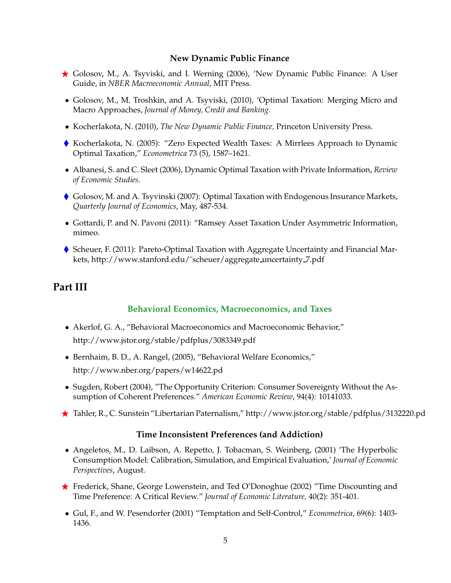#### **New Dynamic Public Finance**

- ⋆ Golosov, M., A. Tsyviski, and I. Werning (2006), 'New Dynamic Public Finance: A User Guide, in *NBER Macroeconomic Annual*, MIT Press.
- Golosov, M., M. Troshkin, and A. Tsyviski, (2010), 'Optimal Taxation: Merging Micro and Macro Approaches, *Journal of Money, Credit and Banking.*
- Kocherlakota, N. (2010), *The New Dynamic Public Finance,* Princeton University Press.
- Kocherlakota, N. (2005): "Zero Expected Wealth Taxes: A Mirrlees Approach to Dynamic Optimal Taxation," *Econometrica* 73 (5), 1587–1621.
- Albanesi, S. and C. Sleet (2006), Dynamic Optimal Taxation with Private Information, *Review of Economic Studies*.
- Golosov, M. and A. Tsyvinski (2007): Optimal Taxation with Endogenous Insurance Markets, *Quarterly Journal of Economics*, May, 487-534.
- Gottardi, P. and N. Pavoni (2011): "Ramsey Asset Taxation Under Asymmetric Information, mimeo.
- Scheuer, F. (2011): Pareto-Optimal Taxation with Aggregate Uncertainty and Financial Markets, http://www.stanford.edu/˜scheuer/aggregate uncertainty 7.pdf

# **Part III**

### **Behavioral Economics, Macroeconomics, and Taxes**

- Akerlof, G. A., "Behavioral Macroeconomics and Macroeconomic Behavior," http://www.jstor.org/stable/pdfplus/3083349.pdf
- Bernhaim, B. D., A. Rangel, (2005), "Behavioral Welfare Economics," http://www.nber.org/papers/w14622.pd
- Sugden, Robert (2004), "The Opportunity Criterion: Consumer Sovereignty Without the Assumption of Coherent Preferences." *American Economic Review*, 94(4): 10141033.
- ⋆ Tahler, R., C. Sunstein "Libertarian Paternalism," http://www.jstor.org/stable/pdfplus/3132220.pd

### **Time Inconsistent Preferences (and Addiction)**

- Angeletos, M., D. Laibson, A. Repetto, J. Tobacman, S. Weinberg, (2001) 'The Hyperbolic Consumption Model: Calibration, Simulation, and Empirical Evaluation,' *Journal of Economic Perspectives*, August.
- ★ Frederick, Shane, George Lowenstein, and Ted O'Donoghue (2002) "Time Discounting and Time Preference: A Critical Review." *Journal of Economic Literature,* 40(2): 351-401.
- Gul, F., and W. Pesendorfer (2001) "Temptation and Self-Control," *Econometrica*, 69(6): 1403- 1436.